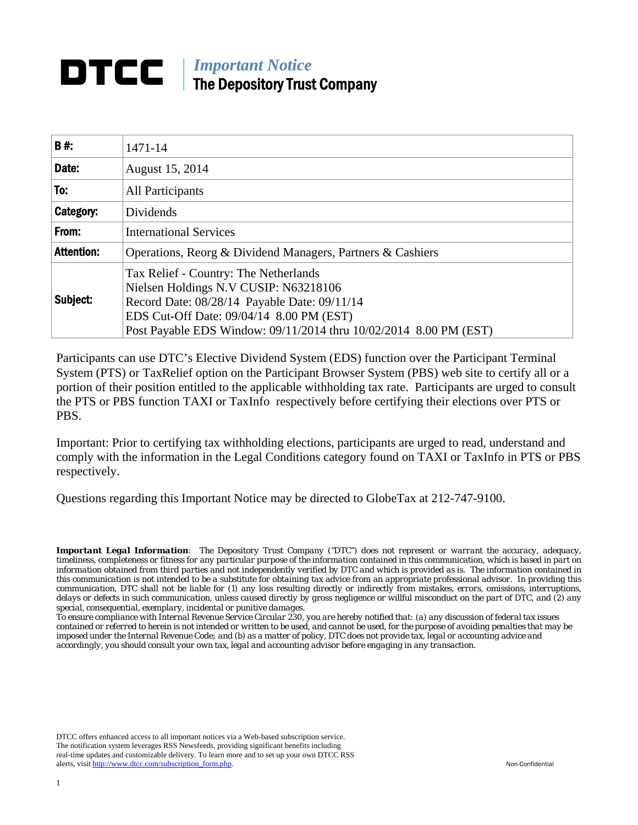# **DTCC** | *Important Notice* The Depository Trust Company

| B#:               | 1471-14                                                                                                                                                                                                                                         |
|-------------------|-------------------------------------------------------------------------------------------------------------------------------------------------------------------------------------------------------------------------------------------------|
| Date:             | August 15, 2014                                                                                                                                                                                                                                 |
| To:               | All Participants                                                                                                                                                                                                                                |
| Category:         | Dividends                                                                                                                                                                                                                                       |
| From:             | <b>International Services</b>                                                                                                                                                                                                                   |
| <b>Attention:</b> | Operations, Reorg & Dividend Managers, Partners & Cashiers                                                                                                                                                                                      |
| Subject:          | Tax Relief - Country: The Netherlands<br>Nielsen Holdings N.V CUSIP: N63218106<br>Record Date: 08/28/14 Payable Date: 09/11/14<br>EDS Cut-Off Date: 09/04/14 8.00 PM (EST)<br>Post Payable EDS Window: 09/11/2014 thru 10/02/2014 8.00 PM (EST) |

Participants can use DTC's Elective Dividend System (EDS) function over the Participant Terminal System (PTS) or TaxRelief option on the Participant Browser System (PBS) web site to certify all or a portion of their position entitled to the applicable withholding tax rate. Participants are urged to consult the PTS or PBS function TAXI or TaxInfo respectively before certifying their elections over PTS or PBS.

Important: Prior to certifying tax withholding elections, participants are urged to read, understand and comply with the information in the Legal Conditions category found on TAXI or TaxInfo in PTS or PBS respectively.

Questions regarding this Important Notice may be directed to GlobeTax at 212-747-9100.

*Important Legal Information: The Depository Trust Company ("DTC") does not represent or warrant the accuracy, adequacy, timeliness, completeness or fitness for any particular purpose of the information contained in this communication, which is based in part on information obtained from third parties and not independently verified by DTC and which is provided as is. The information contained in this communication is not intended to be a substitute for obtaining tax advice from an appropriate professional advisor. In providing this communication, DTC shall not be liable for (1) any loss resulting directly or indirectly from mistakes, errors, omissions, interruptions, delays or defects in such communication, unless caused directly by gross negligence or willful misconduct on the part of DTC, and (2) any special, consequential, exemplary, incidental or punitive damages.* 

*To ensure compliance with Internal Revenue Service Circular 230, you are hereby notified that: (a) any discussion of federal tax issues contained or referred to herein is not intended or written to be used, and cannot be used, for the purpose of avoiding penalties that may be imposed under the Internal Revenue Code; and (b) as a matter of policy, DTC does not provide tax, legal or accounting advice and accordingly, you should consult your own tax, legal and accounting advisor before engaging in any transaction.*

DTCC offers enhanced access to all important notices via a Web-based subscription service. The notification system leverages RSS Newsfeeds, providing significant benefits including real-time updates and customizable delivery. To learn more and to set up your own DTCC RSS alerts, visit http://www.dtcc.com/subscription\_form.php. Non-Confidential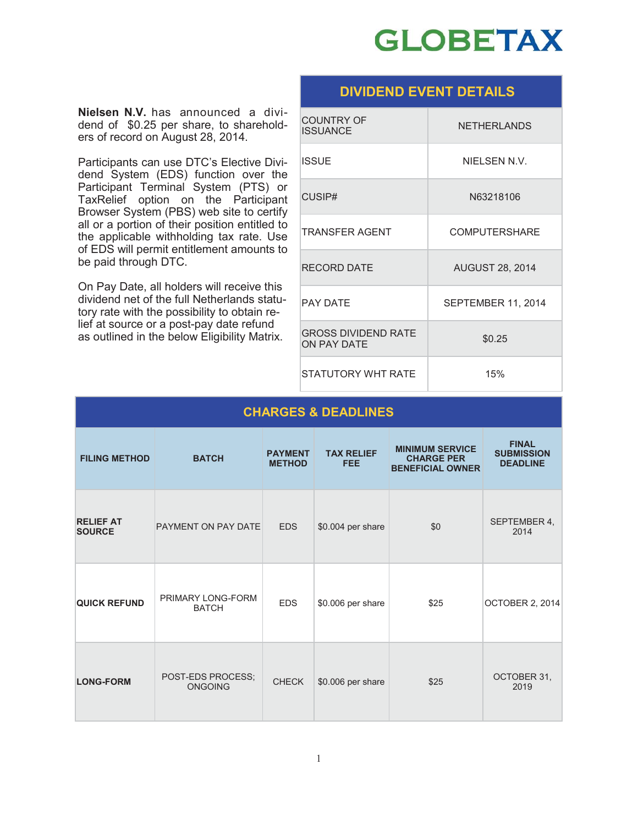

## **DIVIDEND EVENT DETAILS**

**Nielsen N.V.** has announced a dividend of \$0.25 per share, to shareholders of record on August 28, 2014.

Participants can use DTC's Elective Dividend System (EDS) function over the Participant Terminal System (PTS) or TaxRelief option on the Participant Browser System (PBS) web site to certify all or a portion of their position entitled to the applicable withholding tax rate. Use of EDS will permit entitlement amounts to be paid through DTC.

On Pay Date, all holders will receive this dividend net of the full Netherlands statutory rate with the possibility to obtain relief at source or a post-pay date refund as outlined in the below Eligibility Matrix.

| <b>COUNTRY OF</b><br><b>ISSUANCE</b>             | <b>NETHERLANDS</b>     |
|--------------------------------------------------|------------------------|
| <b>ISSUE</b>                                     | NIELSEN N.V.           |
| CUSIP#                                           | N63218106              |
| <b>TRANSFFR AGFNT</b>                            | <b>COMPUTERSHARE</b>   |
| <b>RECORD DATE</b>                               | <b>AUGUST 28, 2014</b> |
| <b>PAY DATF</b>                                  | SEPTEMBER 11, 2014     |
| <b>GROSS DIVIDEND RATE</b><br><b>ON PAY DATE</b> | \$0.25                 |
| STATUTORY WHT RATF                               | 15%                    |

| <b>CHARGES &amp; DEADLINES</b>    |                                     |                                 |                                 |                                                                        |                                                      |
|-----------------------------------|-------------------------------------|---------------------------------|---------------------------------|------------------------------------------------------------------------|------------------------------------------------------|
| <b>FILING METHOD</b>              | <b>BATCH</b>                        | <b>PAYMENT</b><br><b>METHOD</b> | <b>TAX RELIEF</b><br><b>FEE</b> | <b>MINIMUM SERVICE</b><br><b>CHARGE PER</b><br><b>BENEFICIAL OWNER</b> | <b>FINAL</b><br><b>SUBMISSION</b><br><b>DEADLINE</b> |
| <b>RELIEF AT</b><br><b>SOURCE</b> | PAYMENT ON PAY DATE                 | <b>EDS</b>                      | \$0.004 per share               | \$0                                                                    | SEPTEMBER 4.<br>2014                                 |
| <b>QUICK REFUND</b>               | PRIMARY LONG-FORM<br><b>BATCH</b>   | <b>EDS</b>                      | \$0.006 per share               | \$25                                                                   | <b>OCTOBER 2, 2014</b>                               |
| <b>LONG-FORM</b>                  | POST-EDS PROCESS:<br><b>ONGOING</b> | <b>CHECK</b>                    | \$0.006 per share               | \$25                                                                   | OCTOBER 31,<br>2019                                  |

#### 1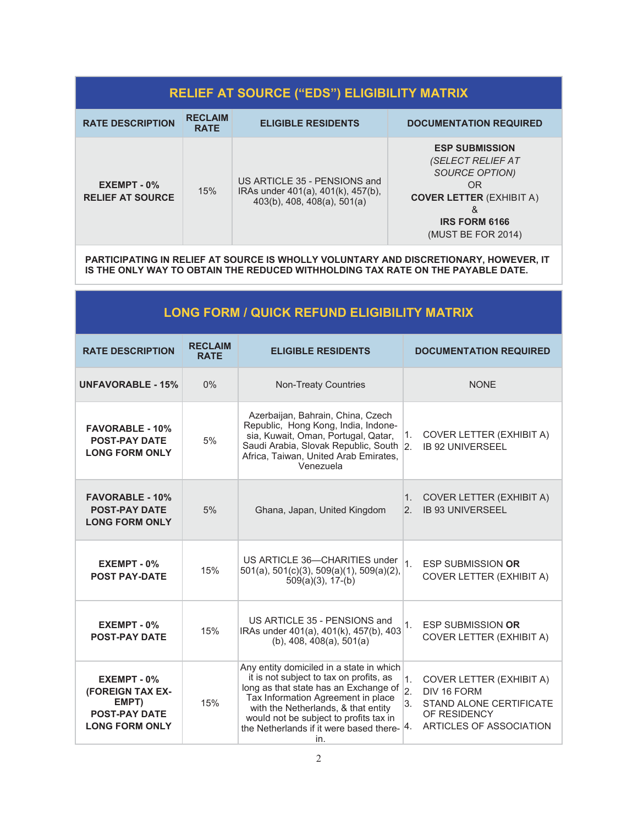## **RELIEF AT SOURCE ("EDS") ELIGIBILITY MATRIX**

| <b>RATE DESCRIPTION</b>                    | <b>RECLAIM</b><br><b>RATE</b> | <b>ELIGIBLE RESIDENTS</b>                                                                            | <b>DOCUMENTATION REQUIRED</b>                                                                                                                                        |
|--------------------------------------------|-------------------------------|------------------------------------------------------------------------------------------------------|----------------------------------------------------------------------------------------------------------------------------------------------------------------------|
| $EXEMENT - 0$ %<br><b>RELIEF AT SOURCE</b> | 15%                           | US ARTICLE 35 - PENSIONS and<br>IRAs under 401(a), 401(k), 457(b),<br>$403(b)$ , 408, 408(a), 501(a) | <b>ESP SUBMISSION</b><br>(SELECT RELIEF AT<br>SOURCE OPTION)<br>0 <sub>R</sub><br><b>COVER LETTER (EXHIBIT A)</b><br>&<br><b>IRS FORM 6166</b><br>(MUST BE FOR 2014) |

**PARTICIPATING IN RELIEF AT SOURCE IS WHOLLY VOLUNTARY AND DISCRETIONARY, HOWEVER, IT IS THE ONLY WAY TO OBTAIN THE REDUCED WITHHOLDING TAX RATE ON THE PAYABLE DATE.** 

# **LONG FORM / QUICK REFUND ELIGIBILITY MATRIX**

| <b>RATE DESCRIPTION</b>                                                                      | <b>RECLAIM</b><br><b>RATE</b> | <b>ELIGIBLE RESIDENTS</b>                                                                                                                                                                                                                                                                                    | <b>DOCUMENTATION REQUIRED</b>                                                                                                                               |  |
|----------------------------------------------------------------------------------------------|-------------------------------|--------------------------------------------------------------------------------------------------------------------------------------------------------------------------------------------------------------------------------------------------------------------------------------------------------------|-------------------------------------------------------------------------------------------------------------------------------------------------------------|--|
| <b>UNFAVORABLE - 15%</b>                                                                     | $0\%$                         | <b>Non-Treaty Countries</b>                                                                                                                                                                                                                                                                                  | <b>NONE</b>                                                                                                                                                 |  |
| <b>FAVORABLE - 10%</b><br><b>POST-PAY DATE</b><br><b>LONG FORM ONLY</b>                      | 5%                            | Azerbaijan, Bahrain, China, Czech<br>Republic, Hong Kong, India, Indone-<br>sia, Kuwait, Oman, Portugal, Qatar,<br>Saudi Arabia, Slovak Republic, South 2.<br>Africa, Taiwan, United Arab Emirates,<br>Venezuela                                                                                             | <b>COVER LETTER (EXHIBIT A)</b><br>1.<br><b>IB 92 UNIVERSEEL</b>                                                                                            |  |
| <b>FAVORABLE - 10%</b><br><b>POST-PAY DATE</b><br><b>LONG FORM ONLY</b>                      | 5%                            | Ghana, Japan, United Kingdom                                                                                                                                                                                                                                                                                 | <b>COVER LETTER (EXHIBIT A)</b><br>1.<br><b>IB 93 UNIVERSEEL</b><br>$\overline{2}$ .                                                                        |  |
| EXEMPT - 0%<br><b>POST PAY-DATE</b>                                                          | 15%                           | US ARTICLE 36-CHARITIES under<br>501(a), 501(c)(3), 509(a)(1), 509(a)(2),<br>$509(a)(3)$ , 17-(b)                                                                                                                                                                                                            | 1 <sub>1</sub><br><b>ESP SUBMISSION OR</b><br><b>COVER LETTER (EXHIBIT A)</b>                                                                               |  |
| EXEMPT - 0%<br><b>POST-PAY DATE</b>                                                          | 15%                           | US ARTICLE 35 - PENSIONS and<br>IRAs under 401(a), 401(k), 457(b), 403<br>$(b)$ , 408, 408 $(a)$ , 501 $(a)$                                                                                                                                                                                                 | 1 <sub>1</sub><br><b>ESP SUBMISSION OR</b><br><b>COVER LETTER (EXHIBIT A)</b>                                                                               |  |
| $EXEMENT - 0%$<br>(FOREIGN TAX EX-<br>EMPT)<br><b>POST-PAY DATE</b><br><b>LONG FORM ONLY</b> | 15%                           | Any entity domiciled in a state in which<br>it is not subject to tax on profits, as<br>long as that state has an Exchange of<br>Tax Information Agreement in place<br>with the Netherlands, & that entity<br>would not be subject to profits tax in<br>the Netherlands if it were based there- $ 4$ .<br>in. | 1.<br><b>COVER LETTER (EXHIBIT A)</b><br>$\overline{2}$ .<br>DIV 16 FORM<br>3.<br><b>STAND ALONE CERTIFICATE</b><br>OF RESIDENCY<br>ARTICLES OF ASSOCIATION |  |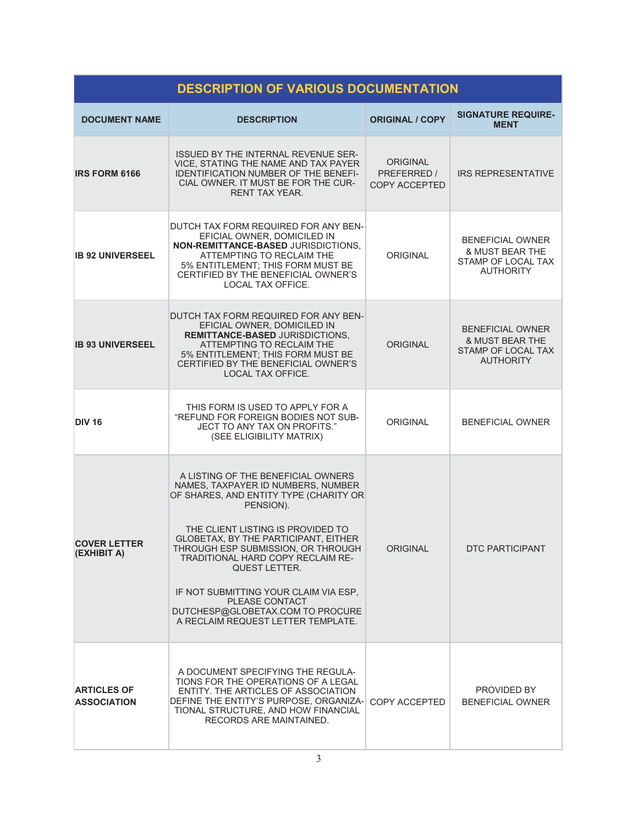| <b>DESCRIPTION OF VARIOUS DOCUMENTATION</b> |                                                                                                                                                                                                                                                                                                                                                                                                                                                                           |                                          |                                                                                                 |  |
|---------------------------------------------|---------------------------------------------------------------------------------------------------------------------------------------------------------------------------------------------------------------------------------------------------------------------------------------------------------------------------------------------------------------------------------------------------------------------------------------------------------------------------|------------------------------------------|-------------------------------------------------------------------------------------------------|--|
| <b>DOCUMENT NAME</b>                        | <b>DESCRIPTION</b>                                                                                                                                                                                                                                                                                                                                                                                                                                                        | <b>ORIGINAL / COPY</b>                   | <b>SIGNATURE REQUIRE-</b><br><b>MENT</b>                                                        |  |
| <b>IRS FORM 6166</b>                        | <b>ISSUED BY THE INTERNAL REVENUE SER-</b><br>VICE, STATING THE NAME AND TAX PAYER<br><b>IDENTIFICATION NUMBER OF THE BENEFI-</b><br>CIAL OWNER. IT MUST BE FOR THE CUR-<br>RENT TAX YEAR                                                                                                                                                                                                                                                                                 | ORIGINAL<br>PREFERRED /<br>COPY ACCEPTED | <b>IRS REPRESENTATIVE</b>                                                                       |  |
| <b>IB 92 UNIVERSEEL</b>                     | DUTCH TAX FORM REQUIRED FOR ANY BEN-<br>EFICIAL OWNER, DOMICILED IN<br>NON-REMITTANCE-BASED JURISDICTIONS,<br>ATTEMPTING TO RECLAIM THE<br>5% ENTITLEMENT; THIS FORM MUST BE<br>CERTIFIED BY THE BENEFICIAL OWNER'S<br>LOCAL TAX OFFICE.                                                                                                                                                                                                                                  | <b>ORIGINAL</b>                          | <b>BENEFICIAL OWNER</b><br>& MUST BEAR THE<br>STAMP OF LOCAL TAX<br><b>AUTHORITY</b>            |  |
| <b>IB 93 UNIVERSEEL</b>                     | DUTCH TAX FORM REQUIRED FOR ANY BEN-<br>EFICIAL OWNER, DOMICILED IN<br><b>REMITTANCE-BASED JURISDICTIONS.</b><br>ATTEMPTING TO RECLAIM THE<br>5% ENTITLEMENT; THIS FORM MUST BE<br>CERTIFIED BY THE BENEFICIAL OWNER'S<br>LOCAL TAX OFFICE.                                                                                                                                                                                                                               | ORIGINAL                                 | <b>BENEFICIAL OWNER</b><br><b>&amp; MUST BEAR THE</b><br>STAMP OF LOCAL TAX<br><b>AUTHORITY</b> |  |
| <b>DIV 16</b>                               | THIS FORM IS USED TO APPLY FOR A<br>"REFUND FOR FOREIGN BODIES NOT SUB-<br>JECT TO ANY TAX ON PROFITS."<br>(SEE ELIGIBILITY MATRIX)                                                                                                                                                                                                                                                                                                                                       | <b>ORIGINAL</b>                          | <b>BENEFICIAL OWNER</b>                                                                         |  |
| <b>COVER LETTER</b><br>(EXHIBIT A)          | A LISTING OF THE BENEFICIAL OWNERS<br>NAMES, TAXPAYER ID NUMBERS, NUMBER<br>OF SHARES, AND ENTITY TYPE (CHARITY OR<br>PENSION).<br>THE CLIENT LISTING IS PROVIDED TO<br><b>GLOBETAX, BY THE PARTICIPANT, EITHER</b><br>THROUGH ESP SUBMISSION, OR THROUGH<br><b>TRADITIONAL HARD COPY RECLAIM RE-</b><br><b>QUEST LETTER.</b><br>IF NOT SUBMITTING YOUR CLAIM VIA ESP,<br><b>PLEASE CONTACT</b><br>DUTCHESP@GLOBETAX.COM TO PROCURE<br>A RECLAIM REQUEST LETTER TEMPLATE. | <b>ORIGINAL</b>                          | DTC PARTICIPANT                                                                                 |  |
| <b>ARTICLES OF</b><br><b>ASSOCIATION</b>    | A DOCUMENT SPECIFYING THE REGULA-<br>TIONS FOR THE OPERATIONS OF A LEGAL<br>ENTITY. THE ARTICLES OF ASSOCIATION<br>DEFINE THE ENTITY'S PURPOSE, ORGANIZA-<br>TIONAL STRUCTURE, AND HOW FINANCIAL<br>RECORDS ARE MAINTAINED.                                                                                                                                                                                                                                               | COPY ACCEPTED                            | PROVIDED BY<br><b>BENEFICIAL OWNER</b>                                                          |  |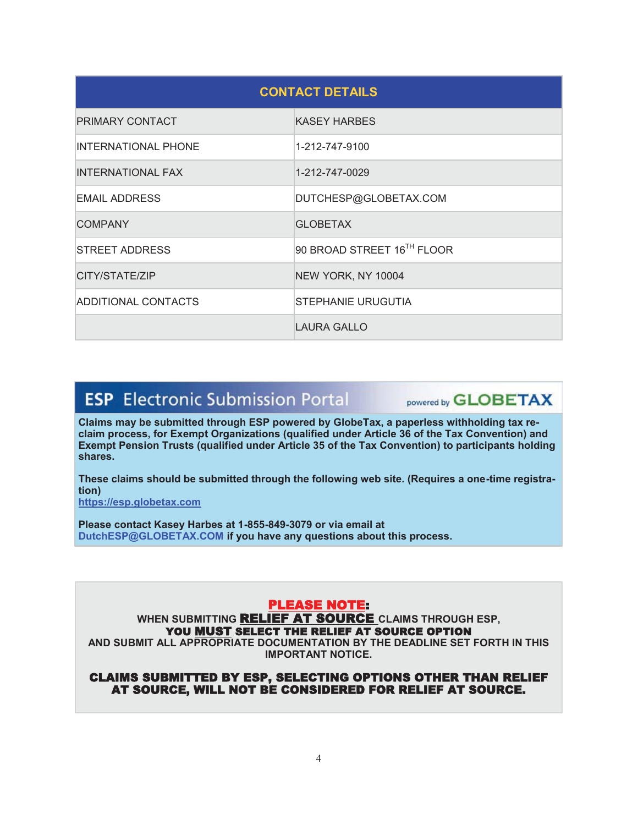| <b>CONTACT DETAILS</b>     |                            |  |  |
|----------------------------|----------------------------|--|--|
| PRIMARY CONTACT            | <b>KASEY HARBES</b>        |  |  |
| <b>INTERNATIONAL PHONE</b> | 1-212-747-9100             |  |  |
| <b>INTERNATIONAL FAX</b>   | 1-212-747-0029             |  |  |
| <b>EMAIL ADDRESS</b>       | DUTCHESP@GLOBETAX.COM      |  |  |
| <b>COMPANY</b>             | <b>GLOBETAX</b>            |  |  |
| <b>STREET ADDRESS</b>      | 90 BROAD STREET 16TH FLOOR |  |  |
| CITY/STATE/ZIP             | NEW YORK, NY 10004         |  |  |
| ADDITIONAL CONTACTS        | STEPHANIE URUGUTIA         |  |  |
|                            | <b>LAURA GALLO</b>         |  |  |

# **ESP** Electronic Submission Portal

powered by **GLOBETAX** 

**Claims may be submitted through ESP powered by GlobeTax, a paperless withholding tax reclaim process, for Exempt Organizations (qualified under Article 36 of the Tax Convention) and Exempt Pension Trusts (qualified under Article 35 of the Tax Convention) to participants holding shares.** 

**These claims should be submitted through the following web site. (Requires a one-time registration)** 

**https://esp.globetax.com**

**Please contact Kasey Harbes at 1-855-849-3079 or via email at DutchESP@GLOBETAX.COM if you have any questions about this process.** 

### PLEASE NOTE:

**WHEN SUBMITTING** RELIEF AT SOURCE **CLAIMS THROUGH ESP,**  YOU MUST SELECT THE RELIEF AT SOURCE OPTION

**AND SUBMIT ALL APPROPRIATE DOCUMENTATION BY THE DEADLINE SET FORTH IN THIS IMPORTANT NOTICE.** 

#### CLAIMS SUBMITTED BY ESP, SELECTING OPTIONS OTHER THAN RELIEF AT SOURCE, WILL NOT BE CONSIDERED FOR RELIEF AT SOURCE.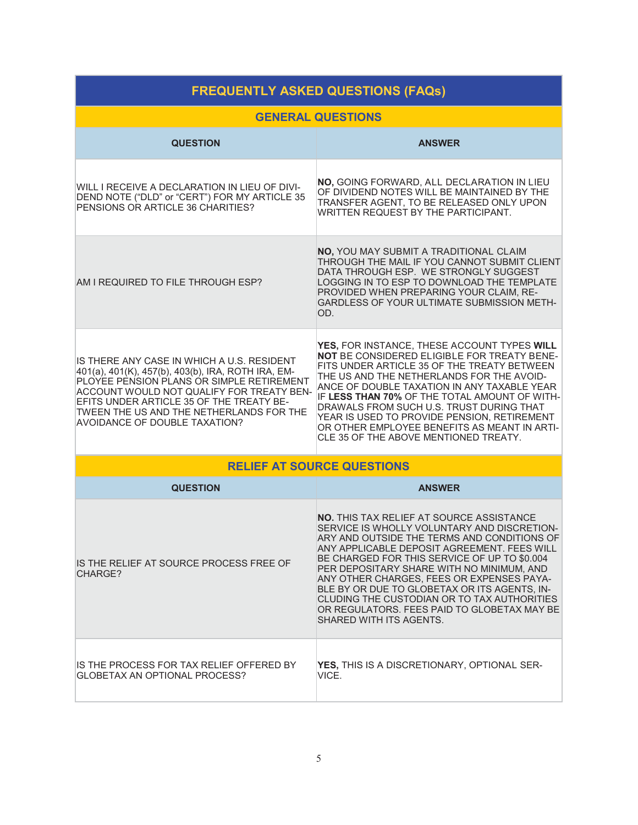| <b>FREQUENTLY ASKED QUESTIONS (FAQs)</b>                                                                                                                                                                                                                                                                            |                                                                                                                                                                                                                                                                                                                                                                                                                                                                                                                 |  |  |
|---------------------------------------------------------------------------------------------------------------------------------------------------------------------------------------------------------------------------------------------------------------------------------------------------------------------|-----------------------------------------------------------------------------------------------------------------------------------------------------------------------------------------------------------------------------------------------------------------------------------------------------------------------------------------------------------------------------------------------------------------------------------------------------------------------------------------------------------------|--|--|
| <b>GENERAL QUESTIONS</b>                                                                                                                                                                                                                                                                                            |                                                                                                                                                                                                                                                                                                                                                                                                                                                                                                                 |  |  |
| <b>QUESTION</b>                                                                                                                                                                                                                                                                                                     | <b>ANSWER</b>                                                                                                                                                                                                                                                                                                                                                                                                                                                                                                   |  |  |
| WILL I RECEIVE A DECLARATION IN LIEU OF DIVI-<br>DEND NOTE ("DLD" or "CERT") FOR MY ARTICLE 35<br>PENSIONS OR ARTICLE 36 CHARITIES?                                                                                                                                                                                 | NO, GOING FORWARD, ALL DECLARATION IN LIEU<br>OF DIVIDEND NOTES WILL BE MAINTAINED BY THE<br>TRANSFER AGENT, TO BE RELEASED ONLY UPON<br>WRITTEN REQUEST BY THE PARTICIPANT.                                                                                                                                                                                                                                                                                                                                    |  |  |
| AM I REQUIRED TO FILE THROUGH ESP?                                                                                                                                                                                                                                                                                  | NO, YOU MAY SUBMIT A TRADITIONAL CLAIM<br>THROUGH THE MAIL IF YOU CANNOT SUBMIT CLIENT<br>DATA THROUGH ESP. WE STRONGLY SUGGEST<br>LOGGING IN TO ESP TO DOWNLOAD THE TEMPLATE<br>PROVIDED WHEN PREPARING YOUR CLAIM, RE-<br><b>GARDLESS OF YOUR ULTIMATE SUBMISSION METH-</b><br>OD.                                                                                                                                                                                                                            |  |  |
| IS THERE ANY CASE IN WHICH A U.S. RESIDENT<br>401(a), 401(K), 457(b), 403(b), IRA, ROTH IRA, EM-<br>PLOYEE PENSION PLANS OR SIMPLE RETIREMENT<br>ACCOUNT WOULD NOT QUALIFY FOR TREATY BEN-<br>EFITS UNDER ARTICLE 35 OF THE TREATY BE-<br>TWEEN THE US AND THE NETHERLANDS FOR THE<br>AVOIDANCE OF DOUBLE TAXATION? | YES, FOR INSTANCE, THESE ACCOUNT TYPES WILL<br>NOT BE CONSIDERED ELIGIBLE FOR TREATY BENE-<br>FITS UNDER ARTICLE 35 OF THE TREATY BETWEEN<br>THE US AND THE NETHERLANDS FOR THE AVOID-<br>ANCE OF DOUBLE TAXATION IN ANY TAXABLE YEAR<br>IF LESS THAN 70% OF THE TOTAL AMOUNT OF WITH-<br>DRAWALS FROM SUCH U.S. TRUST DURING THAT<br>YEAR IS USED TO PROVIDE PENSION, RETIREMENT<br>OR OTHER EMPLOYEE BENEFITS AS MEANT IN ARTI-<br>CLE 35 OF THE ABOVE MENTIONED TREATY.                                      |  |  |
|                                                                                                                                                                                                                                                                                                                     | <b>RELIEF AT SOURCE QUESTIONS</b>                                                                                                                                                                                                                                                                                                                                                                                                                                                                               |  |  |
| <b>QUESTION</b>                                                                                                                                                                                                                                                                                                     | <b>ANSWER</b>                                                                                                                                                                                                                                                                                                                                                                                                                                                                                                   |  |  |
| IS THE RELIEF AT SOURCE PROCESS FREE OF<br>CHARGE?                                                                                                                                                                                                                                                                  | <b>NO.</b> THIS TAX RELIEF AT SOURCE ASSISTANCE<br>SERVICE IS WHOLLY VOLUNTARY AND DISCRETION-<br>ARY AND OUTSIDE THE TERMS AND CONDITIONS OF<br>ANY APPLICABLE DEPOSIT AGREEMENT. FEES WILL<br>BE CHARGED FOR THIS SERVICE OF UP TO \$0.004<br>PER DEPOSITARY SHARE WITH NO MINIMUM, AND<br>ANY OTHER CHARGES, FEES OR EXPENSES PAYA-<br>BLE BY OR DUE TO GLOBETAX OR ITS AGENTS, IN-<br>CLUDING THE CUSTODIAN OR TO TAX AUTHORITIES<br>OR REGULATORS. FEES PAID TO GLOBETAX MAY BE<br>SHARED WITH ITS AGENTS. |  |  |
| IS THE PROCESS FOR TAX RELIEF OFFERED BY<br>GLOBETAX AN OPTIONAL PROCESS?                                                                                                                                                                                                                                           | YES, THIS IS A DISCRETIONARY, OPTIONAL SER-<br>VICE.                                                                                                                                                                                                                                                                                                                                                                                                                                                            |  |  |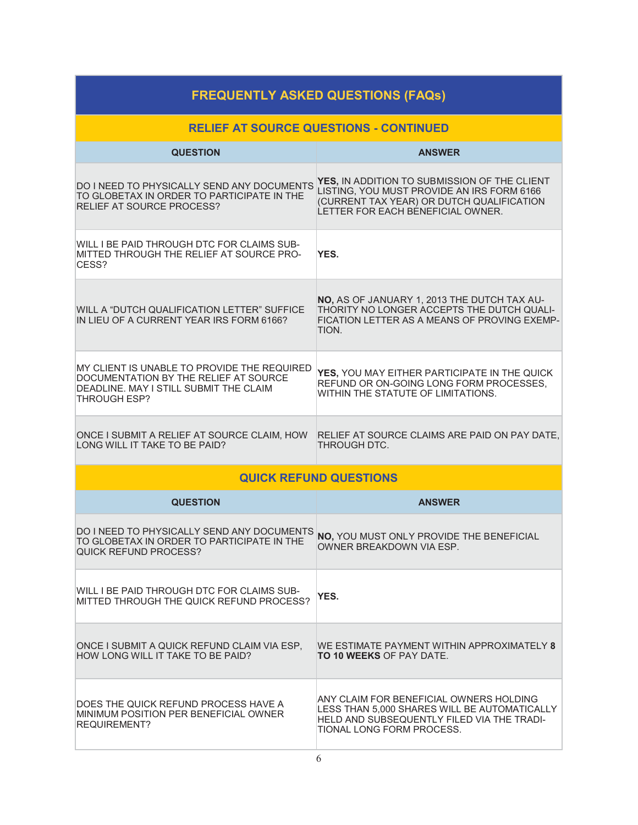| <b>FREQUENTLY ASKED QUESTIONS (FAQs)</b>                                                                                                              |                                                                                                                                                                              |  |  |
|-------------------------------------------------------------------------------------------------------------------------------------------------------|------------------------------------------------------------------------------------------------------------------------------------------------------------------------------|--|--|
| <b>RELIEF AT SOURCE QUESTIONS - CONTINUED</b>                                                                                                         |                                                                                                                                                                              |  |  |
| <b>QUESTION</b>                                                                                                                                       | <b>ANSWER</b>                                                                                                                                                                |  |  |
| DO I NEED TO PHYSICALLY SEND ANY DOCUMENTS<br>TO GLOBETAX IN ORDER TO PARTICIPATE IN THE<br><b>RELIEF AT SOURCE PROCESS?</b>                          | YES, IN ADDITION TO SUBMISSION OF THE CLIENT<br>LISTING, YOU MUST PROVIDE AN IRS FORM 6166<br>(CURRENT TAX YEAR) OR DUTCH QUALIFICATION<br>LETTER FOR FACH BENEFICIAL OWNER. |  |  |
| WILL I BE PAID THROUGH DTC FOR CLAIMS SUB-<br>MITTED THROUGH THE RELIEF AT SOURCE PRO-<br>CESS?                                                       | YES.                                                                                                                                                                         |  |  |
| WILL A "DUTCH QUALIFICATION LETTER" SUFFICE<br>IN LIEU OF A CURRENT YEAR IRS FORM 6166?                                                               | NO, AS OF JANUARY 1, 2013 THE DUTCH TAX AU-<br>THORITY NO LONGER ACCEPTS THE DUTCH QUALI-<br>FICATION LETTER AS A MEANS OF PROVING EXEMP-<br>TION.                           |  |  |
| MY CLIENT IS UNABLE TO PROVIDE THE REQUIRED<br>DOCUMENTATION BY THE RELIEF AT SOURCE<br>DEADLINE, MAY I STILL SUBMIT THE CLAIM<br><b>THROUGH ESP?</b> | YES, YOU MAY EITHER PARTICIPATE IN THE QUICK<br>REFUND OR ON-GOING LONG FORM PROCESSES.<br>WITHIN THE STATUTE OF LIMITATIONS.                                                |  |  |
| ONCE I SUBMIT A RELIEF AT SOURCE CLAIM, HOW<br>LONG WILL IT TAKE TO BE PAID?                                                                          | RELIEF AT SOURCE CLAIMS ARE PAID ON PAY DATE,<br>THROUGH DTC.                                                                                                                |  |  |
|                                                                                                                                                       | <b>QUICK REFUND QUESTIONS</b>                                                                                                                                                |  |  |
| <b>QUESTION</b>                                                                                                                                       | <b>ANSWER</b>                                                                                                                                                                |  |  |
| DO I NEED TO PHYSICALLY SEND ANY DOCUMENTS<br>TO GLOBETAX IN ORDER TO PARTICIPATE IN THE<br>QUICK REFUND PROCESS?                                     | NO, YOU MUST ONLY PROVIDE THE BENEFICIAL<br>OWNER BREAKDOWN VIA ESP.                                                                                                         |  |  |
| WILL I BE PAID THROUGH DTC FOR CLAIMS SUB-<br>MITTED THROUGH THE QUICK REFUND PROCESS?                                                                | YES.                                                                                                                                                                         |  |  |
| ONCE I SUBMIT A QUICK REFUND CLAIM VIA ESP,<br>HOW LONG WILL IT TAKE TO BE PAID?                                                                      | WE ESTIMATE PAYMENT WITHIN APPROXIMATELY 8<br><b>TO 10 WEEKS OF PAY DATE.</b>                                                                                                |  |  |
| DOES THE QUICK REFUND PROCESS HAVE A<br>MINIMUM POSITION PER BENEFICIAL OWNER<br><b>REQUIREMENT?</b>                                                  | ANY CLAIM FOR BENEFICIAL OWNERS HOLDING<br>LESS THAN 5,000 SHARES WILL BE AUTOMATICALLY<br>HELD AND SUBSEQUENTLY FILED VIA THE TRADI-<br>TIONAL LONG FORM PROCESS.           |  |  |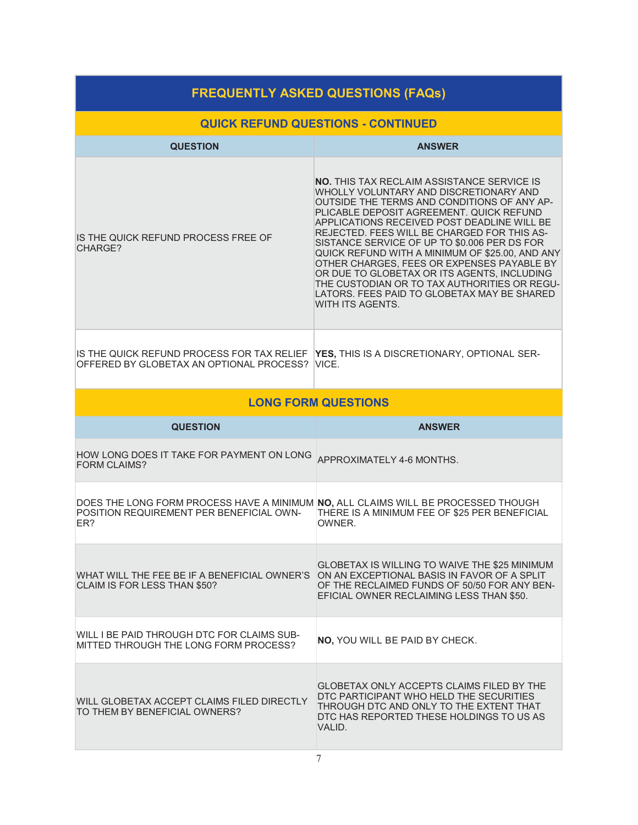| <b>FREQUENTLY ASKED QUESTIONS (FAQs)</b>                                                                                             |                                                                                                                                                                                                                                                                                                                                                                                                                                                                                                                                                                                                         |  |  |
|--------------------------------------------------------------------------------------------------------------------------------------|---------------------------------------------------------------------------------------------------------------------------------------------------------------------------------------------------------------------------------------------------------------------------------------------------------------------------------------------------------------------------------------------------------------------------------------------------------------------------------------------------------------------------------------------------------------------------------------------------------|--|--|
| <b>QUICK REFUND QUESTIONS - CONTINUED</b>                                                                                            |                                                                                                                                                                                                                                                                                                                                                                                                                                                                                                                                                                                                         |  |  |
| <b>QUESTION</b>                                                                                                                      | <b>ANSWER</b>                                                                                                                                                                                                                                                                                                                                                                                                                                                                                                                                                                                           |  |  |
| IS THE QUICK REFUND PROCESS FREE OF<br>CHARGE?                                                                                       | <b>NO.</b> THIS TAX RECLAIM ASSISTANCE SERVICE IS<br>WHOLLY VOLUNTARY AND DISCRETIONARY AND<br>OUTSIDE THE TERMS AND CONDITIONS OF ANY AP-<br>PLICABLE DEPOSIT AGREEMENT. QUICK REFUND<br>APPLICATIONS RECEIVED POST DEADLINE WILL BE<br>REJECTED. FEES WILL BE CHARGED FOR THIS AS-<br>SISTANCE SERVICE OF UP TO \$0.006 PER DS FOR<br>QUICK REFUND WITH A MINIMUM OF \$25.00, AND ANY<br>OTHER CHARGES, FEES OR EXPENSES PAYABLE BY<br>OR DUE TO GLOBETAX OR ITS AGENTS, INCLUDING<br>THE CUSTODIAN OR TO TAX AUTHORITIES OR REGU-<br>LATORS. FEES PAID TO GLOBETAX MAY BE SHARED<br>WITH ITS AGENTS. |  |  |
| IS THE QUICK REFUND PROCESS FOR TAX RELIEF<br>OFFERED BY GLOBETAX AN OPTIONAL PROCESS?                                               | YES, THIS IS A DISCRETIONARY, OPTIONAL SER-<br>VICE.                                                                                                                                                                                                                                                                                                                                                                                                                                                                                                                                                    |  |  |
|                                                                                                                                      | <b>LONG FORM QUESTIONS</b>                                                                                                                                                                                                                                                                                                                                                                                                                                                                                                                                                                              |  |  |
| <b>QUESTION</b>                                                                                                                      | <b>ANSWER</b>                                                                                                                                                                                                                                                                                                                                                                                                                                                                                                                                                                                           |  |  |
| HOW LONG DOES IT TAKE FOR PAYMENT ON LONG<br><b>FORM CLAIMS?</b>                                                                     | APPROXIMATELY 4-6 MONTHS.                                                                                                                                                                                                                                                                                                                                                                                                                                                                                                                                                                               |  |  |
| DOES THE LONG FORM PROCESS HAVE A MINIMUM NO, ALL CLAIMS WILL BE PROCESSED THOUGH<br>POSITION REQUIREMENT PER BENEFICIAL OWN-<br>ER? | THERE IS A MINIMUM FEE OF \$25 PER BENEFICIAL<br>OWNER.                                                                                                                                                                                                                                                                                                                                                                                                                                                                                                                                                 |  |  |
| WHAT WILL THE FEE BE IF A BENEFICIAL OWNER'S<br>CLAIM IS FOR LESS THAN \$50?                                                         | <b>GLOBETAX IS WILLING TO WAIVE THE \$25 MINIMUM</b><br>ON AN EXCEPTIONAL BASIS IN FAVOR OF A SPLIT<br>OF THE RECLAIMED FUNDS OF 50/50 FOR ANY BEN-<br>EFICIAL OWNER RECLAIMING LESS THAN \$50.                                                                                                                                                                                                                                                                                                                                                                                                         |  |  |
| WILL I BE PAID THROUGH DTC FOR CLAIMS SUB-<br>MITTED THROUGH THE LONG FORM PROCESS?                                                  | <b>NO, YOU WILL BE PAID BY CHECK.</b>                                                                                                                                                                                                                                                                                                                                                                                                                                                                                                                                                                   |  |  |
| WILL GLOBETAX ACCEPT CLAIMS FILED DIRECTLY<br>TO THEM BY BENEFICIAL OWNERS?                                                          | GLOBETAX ONLY ACCEPTS CLAIMS FILED BY THE<br>DTC PARTICIPANT WHO HELD THE SECURITIES<br>THROUGH DTC AND ONLY TO THE EXTENT THAT<br>DTC HAS REPORTED THESE HOLDINGS TO US AS<br>VALID.                                                                                                                                                                                                                                                                                                                                                                                                                   |  |  |